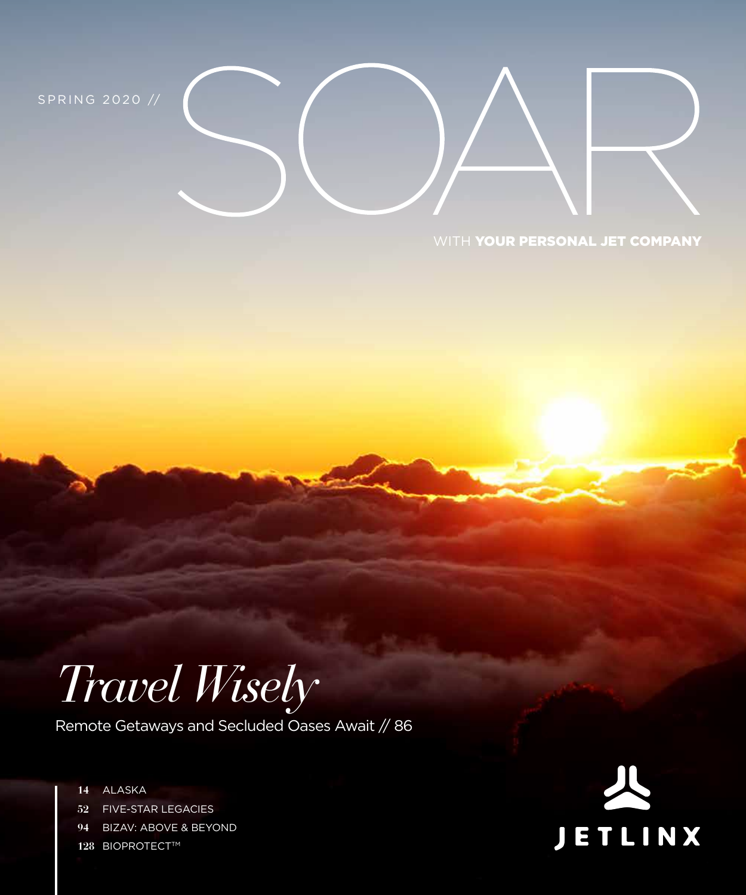S P R I N G 2020 //

#### WITH YOUR PERSONAL JET COMPANY

## *Travel Wisely*

Remote Getaways and Secluded Oases Await // 86

**14** ALASKA **52** FIVE-STAR LEGACIES **94** BIZAV: ABOVE & BEYOND **128 BIOPROTECT™** 

## ETLINX  $\overline{\mathbf{J}}$